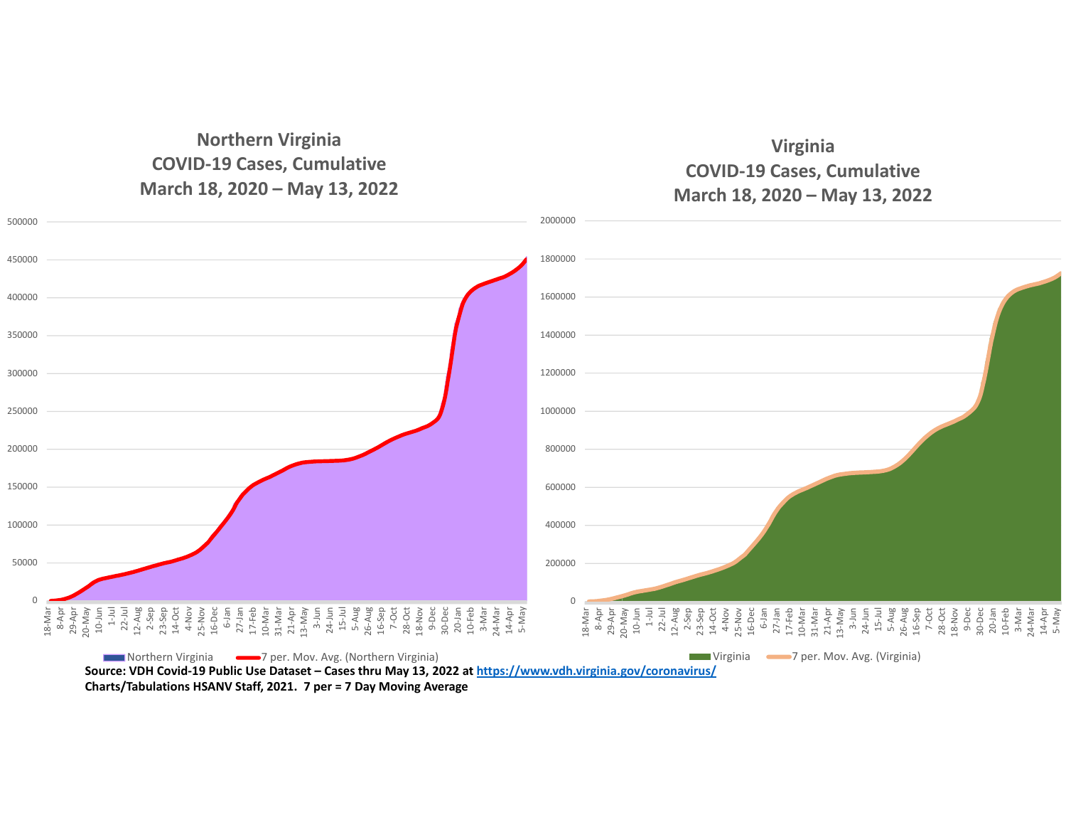## **Northern Virginia COVID‐19 Cases, Cumulative March 18, 2020 – May 13, 2022**

## **Virginia COVID‐19 Cases, Cumulative March 18, 2020 – May 13, 2022**



Source: VDH Covid-19 Public Use Dataset – Cases thru May 13, 2022 at <u>https://www.vdh.virginia.gov/coronavirus/</u> **Charts/Tabulations HSANV Staff, 2021. 7 per <sup>=</sup> 7 Day Moving Average**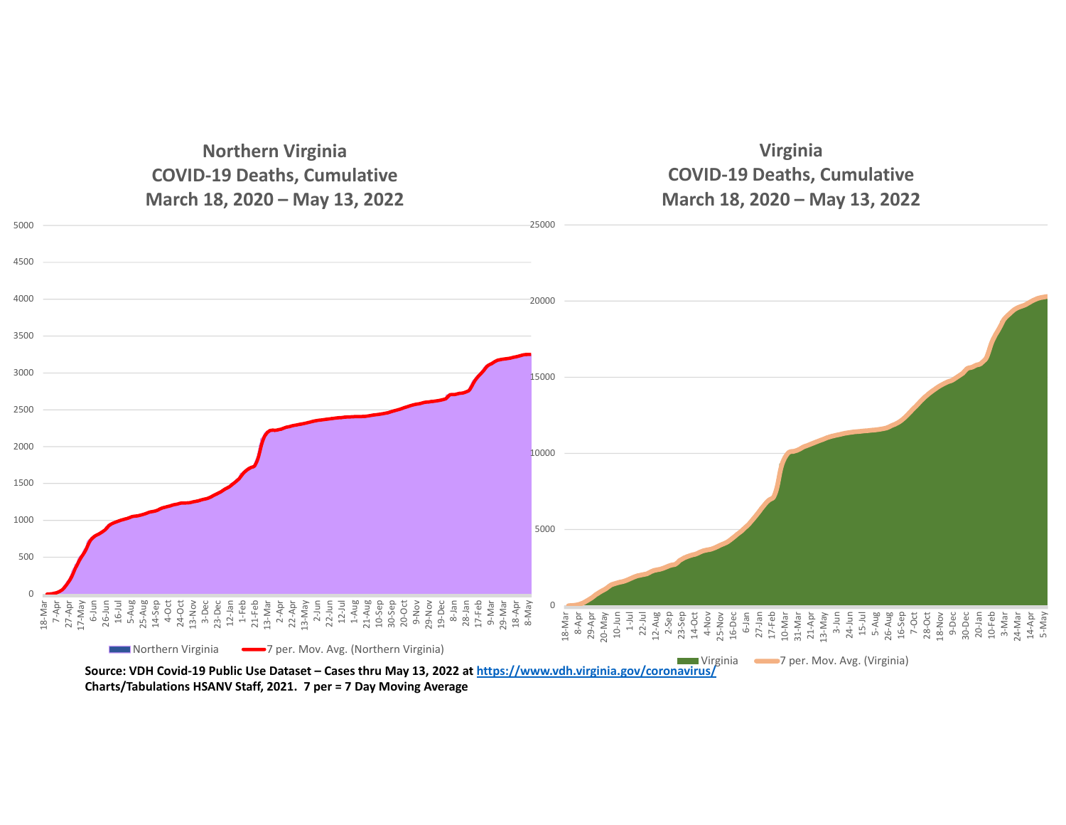**Northern Virginia COVID‐19 Deaths, Cumulative March 18, 2020 – May 13, 2022**

**Virginia COVID‐19 Deaths, Cumulative March 18, 2020 – May 13, 2022**



**Charts/Tabulations HSANV Staff, 2021. 7 per <sup>=</sup> 7 Day Moving Average**